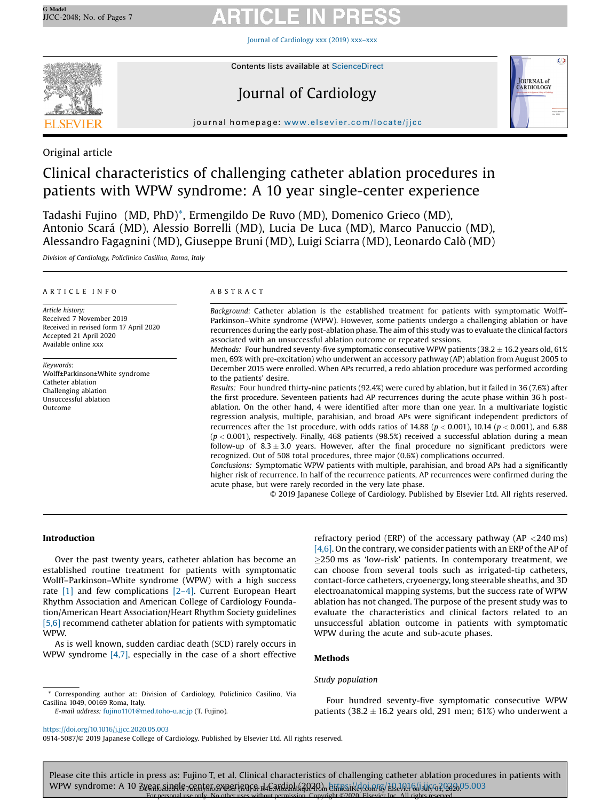Journal of [Cardiology](https://doi.org/10.1016/j.jjcc.2020.05.003) xxx (2019) xxx–xxx



# Journal of Cardiology



j our name page: www.elsevier.com/locate/interview.plus.com/locate/interview.plus.com/locate/interview.plus.com/

# Original article

# Clinical characteristics of challenging catheter ablation procedures in patients with WPW syndrome: A 10 year single-center experience

Tadashi Fujino (MD, PhD)\*, Ermengildo De Ruvo (MD), Domenico Grieco (MD), Antonio Scará (MD), Alessio Borrelli (MD), Lucia De Luca (MD), Marco Panuccio (MD), Alessandro Fagagnini (MD), Giuseppe Bruni (MD), Luigi Sciarra (MD), Leonardo Calò (MD)

Division of Cardiology, Policlinico Casilino, Roma, Italy

### A R T I C L E I N F O

Article history: Received 7 November 2019 Received in revised form 17 April 2020 Accepted 21 April 2020 Available online xxx

Keywords: Wolff±Parkinson±White syndrome Catheter ablation Challenging ablation Unsuccessful ablation Outcome

#### A B S T R A C T

Background: Catheter ablation is the established treatment for patients with symptomatic Wolff– Parkinson–White syndrome (WPW). However, some patients undergo a challenging ablation or have recurrences during the early post-ablation phase. The aim of this study was to evaluate the clinical factors associated with an unsuccessful ablation outcome or repeated sessions.

*Methods:* Four hundred seventy-five symptomatic consecutive WPW patients (38.2  $\pm$  16.2 years old, 61%) men, 69% with pre-excitation) who underwent an accessory pathway (AP) ablation from August 2005 to December 2015 were enrolled. When APs recurred, a redo ablation procedure was performed according to the patients' desire.

Results: Four hundred thirty-nine patients (92.4%) were cured by ablation, but it failed in 36 (7.6%) after the first procedure. Seventeen patients had AP recurrences during the acute phase within 36 h postablation. On the other hand, 4 were identified after more than one year. In a multivariate logistic regression analysis, multiple, parahisian, and broad APs were significant independent predictors of recurrences after the 1st procedure, with odds ratios of 14.88 ( $p < 0.001$ ), 10.14 ( $p < 0.001$ ), and 6.88  $(p < 0.001)$ , respectively. Finally, 468 patients (98.5%) received a successful ablation during a mean follow-up of  $8.3 \pm 3.0$  years. However, after the final procedure no significant predictors were recognized. Out of 508 total procedures, three major (0.6%) complications occurred.

Conclusions: Symptomatic WPW patients with multiple, parahisian, and broad APs had a significantly higher risk of recurrence. In half of the recurrence patients, AP recurrences were confirmed during the acute phase, but were rarely recorded in the very late phase.

© 2019 Japanese College of Cardiology. Published by Elsevier Ltd. All rights reserved.

# Introduction

Over the past twenty years, catheter ablation has become an established routine treatment for patients with symptomatic Wolff–Parkinson–White syndrome (WPW) with a high success rate  $[1]$  and few complications  $[2-4]$ . Current European Heart Rhythm Association and American College of Cardiology Foundation/American Heart Association/Heart Rhythm Society guidelines [\[5,6\]](#page-6-0) recommend catheter ablation for patients with symptomatic WPW.

As is well known, sudden cardiac death (SCD) rarely occurs in WPW syndrome [\[4,7\],](#page-6-0) especially in the case of a short effective refractory period (ERP) of the accessary pathway (AP  $<$ 240 ms) [\[4,6\]](#page-6-0). On the contrary, we consider patients with an ERP of the AP of  $\geq$ 250 ms as 'low-risk' patients. In contemporary treatment, we can choose from several tools such as irrigated-tip catheters, contact-force catheters, cryoenergy, long steerable sheaths, and 3D electroanatomical mapping systems, but the success rate of WPW ablation has not changed. The purpose of the present study was to evaluate the characteristics and clinical factors related to an unsuccessful ablation outcome in patients with symptomatic WPW during the acute and sub-acute phases.

# Methods

# Study population

E-mail address: [fujino1101@med.toho-u.ac.jp](mailto:fujino1101@med.toho-u.ac.jp) (T. Fujino).

<https://doi.org/10.1016/j.jjcc.2020.05.003>

0914-5087/© 2019 Japanese College of Cardiology. Published by Elsevier Ltd. All rights reserved.

Please cite this article in press as: Fujino T, et al. Clinical characteristics of challenging catheter ablation procedures in patients with WPW syndrome: A 10 <u>Byear single-center experience de Cardiolu</u>(2024), https://doi.org/£ReVel6/j.ijico?.2020.05.003 For personal use only. No other uses without permission. Copyright ©2020. Elsevier Inc. All rights reserved.

Four hundred seventy-five symptomatic consecutive WPW patients (38.2  $\pm$  16.2 years old, 291 men; 61%) who underwent a

Corresponding author at: Division of Cardiology, Policlinico Casilino, Via Casilina 1049, 00169 Roma, Italy.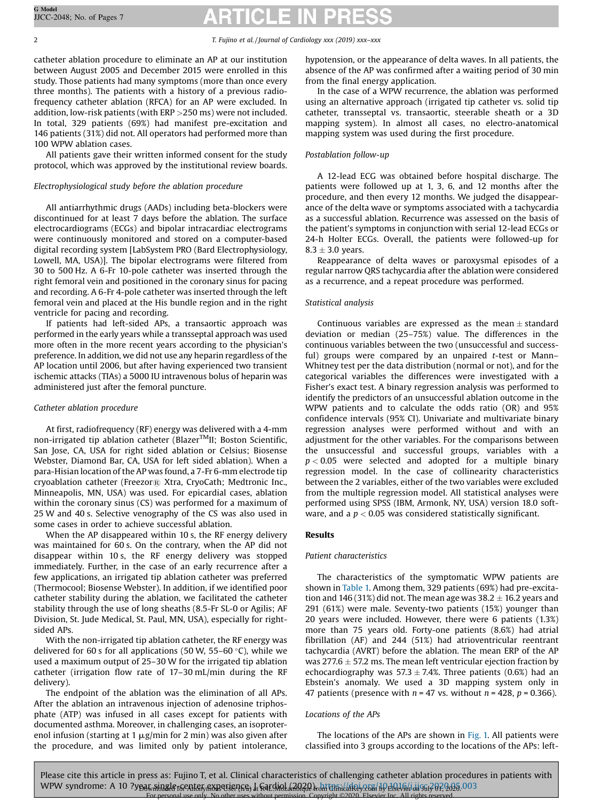catheter ablation procedure to eliminate an AP at our institution between August 2005 and December 2015 were enrolled in this study. Those patients had many symptoms (more than once every three months). The patients with a history of a previous radiofrequency catheter ablation (RFCA) for an AP were excluded. In addition, low-risk patients (with ERP >250 ms) were not included. In total, 329 patients (69%) had manifest pre-excitation and 146 patients (31%) did not. All operators had performed more than 100 WPW ablation cases.

All patients gave their written informed consent for the study protocol, which was approved by the institutional review boards.

# Electrophysiological study before the ablation procedure

All antiarrhythmic drugs (AADs) including beta-blockers were discontinued for at least 7 days before the ablation. The surface electrocardiograms (ECGs) and bipolar intracardiac electrograms were continuously monitored and stored on a computer-based digital recording system [LabSystem PRO (Bard Electrophysiology, Lowell, MA, USA)]. The bipolar electrograms were filtered from 30 to 500 Hz. A 6-Fr 10-pole catheter was inserted through the right femoral vein and positioned in the coronary sinus for pacing and recording. A 6-Fr 4-pole catheter was inserted through the left femoral vein and placed at the His bundle region and in the right ventricle for pacing and recording.

If patients had left-sided APs, a transaortic approach was performed in the early years while a transseptal approach was used more often in the more recent years according to the physician's preference. In addition, we did not use any heparin regardless of the AP location until 2006, but after having experienced two transient ischemic attacks (TIAs) a 5000 IU intravenous bolus of heparin was administered just after the femoral puncture.

# Catheter ablation procedure

At first, radiofrequency (RF) energy was delivered with a 4-mm non-irrigated tip ablation catheter (Blazer<sup>TM</sup>II; Boston Scientific, San Jose, CA, USA for right sided ablation or Celsius; Biosense Webster, Diamond Bar, CA, USA for left sided ablation). When a para-Hisian location of the AP was found, a 7-Fr 6-mm electrode tip cryoablation catheter (Freezor® Xtra, CryoCath; Medtronic Inc., Minneapolis, MN, USA) was used. For epicardial cases, ablation within the coronary sinus (CS) was performed for a maximum of 25 W and 40 s. Selective venography of the CS was also used in some cases in order to achieve successful ablation.

When the AP disappeared within 10 s, the RF energy delivery was maintained for 60 s. On the contrary, when the AP did not disappear within 10 s, the RF energy delivery was stopped immediately. Further, in the case of an early recurrence after a few applications, an irrigated tip ablation catheter was preferred (Thermocool; Biosense Webster). In addition, if we identified poor catheter stability during the ablation, we facilitated the catheter stability through the use of long sheaths (8.5-Fr SL-0 or Agilis; AF Division, St. Jude Medical, St. Paul, MN, USA), especially for rightsided APs.

With the non-irrigated tip ablation catheter, the RF energy was delivered for 60 s for all applications (50 W, 55–60  $\degree$ C), while we used a maximum output of 25–30 W for the irrigated tip ablation catheter (irrigation flow rate of 17–30 mL/min during the RF delivery).

The endpoint of the ablation was the elimination of all APs. After the ablation an intravenous injection of adenosine triphosphate (ATP) was infused in all cases except for patients with documented asthma. Moreover, in challenging cases, an isoproterenol infusion (starting at 1  $\mu$ g/min for 2 min) was also given after the procedure, and was limited only by patient intolerance, hypotension, or the appearance of delta waves. In all patients, the absence of the AP was confirmed after a waiting period of 30 min from the final energy application.

In the case of a WPW recurrence, the ablation was performed using an alternative approach (irrigated tip catheter vs. solid tip catheter, transseptal vs. transaortic, steerable sheath or a 3D mapping system). In almost all cases, no electro-anatomical mapping system was used during the first procedure.

# Postablation follow-up

A 12-lead ECG was obtained before hospital discharge. The patients were followed up at 1, 3, 6, and 12 months after the procedure, and then every 12 months. We judged the disappearance of the delta wave or symptoms associated with a tachycardia as a successful ablation. Recurrence was assessed on the basis of the patient's symptoms in conjunction with serial 12-lead ECGs or 24-h Holter ECGs. Overall, the patients were followed-up for  $8.3 \pm 3.0$  years.

Reappearance of delta waves or paroxysmal episodes of a regular narrow QRS tachycardia after the ablation were considered as a recurrence, and a repeat procedure was performed.

# Statistical analysis

Continuous variables are expressed as the mean  $\pm$  standard deviation or median (25–75%) value. The differences in the continuous variables between the two (unsuccessful and successful) groups were compared by an unpaired  $t$ -test or Mann-Whitney test per the data distribution (normal or not), and for the categorical variables the differences were investigated with a Fisher's exact test. A binary regression analysis was performed to identify the predictors of an unsuccessful ablation outcome in the WPW patients and to calculate the odds ratio (OR) and 95% confidence intervals (95% CI). Univariate and multivariate binary regression analyses were performed without and with an adjustment for the other variables. For the comparisons between the unsuccessful and successful groups, variables with a  $p < 0.05$  were selected and adopted for a multiple binary regression model. In the case of collinearity characteristics between the 2 variables, either of the two variables were excluded from the multiple regression model. All statistical analyses were performed using SPSS (IBM, Armonk, NY, USA) version 18.0 software, and a  $p < 0.05$  was considered statistically significant.

# Results

# Patient characteristics

The characteristics of the symptomatic WPW patients are shown in [Table](#page-2-0) 1. Among them, 329 patients (69%) had pre-excitation and 146 (31%) did not. The mean age was  $38.2 \pm 16.2$  years and 291 (61%) were male. Seventy-two patients (15%) younger than 20 years were included. However, there were 6 patients (1.3%) more than 75 years old. Forty-one patients (8.6%) had atrial fibrillation (AF) and 244 (51%) had atrioventricular reentrant tachycardia (AVRT) before the ablation. The mean ERP of the AP was 277.6  $\pm$  57.2 ms. The mean left ventricular ejection fraction by echocardiography was  $57.3 \pm 7.4$ %. Three patients (0.6%) had an Ebstein's anomaly. We used a 3D mapping system only in 47 patients (presence with  $n = 47$  vs. without  $n = 428$ ,  $p = 0.366$ ).

# Locations of the APs

The locations of the APs are shown in [Fig.](#page-3-0) 1. All patients were classified into 3 groups according to the locations of the APs: left-

Please cite this article in press as: Fujino T, et al. Clinical characteristics of challenging catheter ablation procedures in patients with WPW syndrome: A 10 ?year single for Anonymous Hearding in Republican and Clinical Key.com by Elsevier in Gui 2020.003 For personal use only. No other uses without permission. Copyright ©2020. Elsevier Inc. All rights reserved.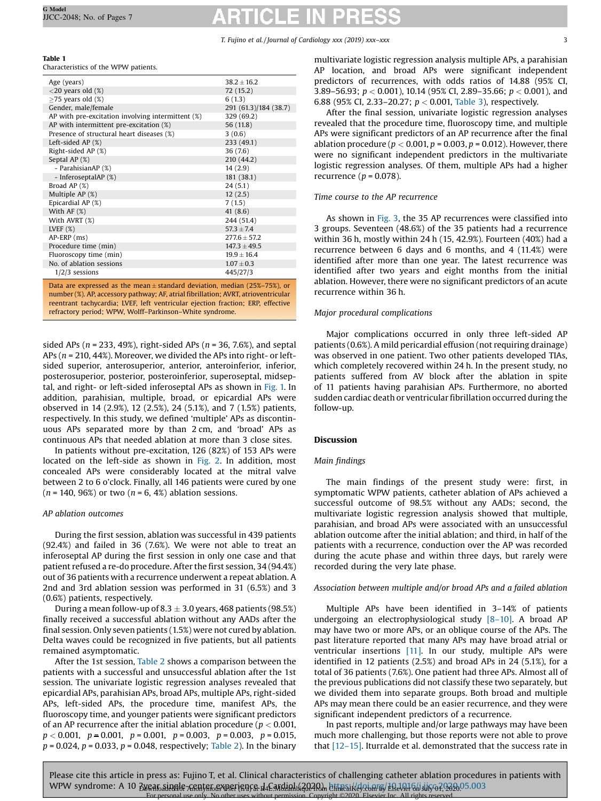# <span id="page-2-0"></span>Table 1

Characteristics of the WPW patients.

| $38.2 + 16.2$         |
|-----------------------|
| 72(15.2)              |
| 6(1.3)                |
| 291 (61.3)/184 (38.7) |
| 329 (69.2)            |
| 56 (11.8)             |
| 3(0.6)                |
| 233 (49.1)            |
| 36(7.6)               |
| 210 (44.2)            |
| 14(2.9)               |
| 181 (38.1)            |
| 24(5.1)               |
| 12(2.5)               |
| 7(1.5)                |
| 41(8.6)               |
| 244 (51.4)            |
| $57.3 + 7.4$          |
| $277.6 \pm 57.2$      |
| $147.3 \pm 49.5$      |
| $19.9 \pm 16.4$       |
| $1.07 \pm 0.3$        |
| 445/27/3              |
|                       |

Data are expressed as the mean  $\pm$  standard deviation, median (25%–75%), or number (%). AP, accessory pathway; AF, atrial fibrillation; AVRT, atrioventricular reentrant tachycardia; LVEF, left ventricular ejection fraction; ERP, effective refractory period; WPW, Wolff–Parkinson–White syndrome.

sided APs ( $n = 233, 49\%)$ , right-sided APs ( $n = 36, 7.6\%)$ , and septal APs ( $n = 210, 44\%$ ). Moreover, we divided the APs into right- or leftsided superior, anterosuperior, anterior, anteroinferior, inferior, posterosuperior, posterior, posteroinferior, superoseptal, midseptal, and right- or left-sided inferoseptal APs as shown in [Fig.](#page-3-0) 1. In addition, parahisian, multiple, broad, or epicardial APs were observed in 14 (2.9%), 12 (2.5%), 24 (5.1%), and 7 (1.5%) patients, respectively. In this study, we defined 'multiple' APs as discontinuous APs separated more by than 2 cm, and 'broad' APs as continuous APs that needed ablation at more than 3 close sites.

In patients without pre-excitation, 126 (82%) of 153 APs were located on the left-side as shown in [Fig.](#page-3-0) 2. In addition, most concealed APs were considerably located at the mitral valve between 2 to 6 o'clock. Finally, all 146 patients were cured by one  $(n = 140, 96%)$  or two  $(n = 6, 4%)$  ablation sessions.

#### AP ablation outcomes

During the first session, ablation was successful in 439 patients (92.4%) and failed in 36 (7.6%). We were not able to treat an inferoseptal AP during the first session in only one case and that patient refused a re-do procedure. After the first session, 34 (94.4%) out of 36 patients with a recurrence underwent a repeat ablation. A 2nd and 3rd ablation session was performed in 31 (6.5%) and 3 (0.6%) patients, respectively.

During a mean follow-up of 8.3  $\pm$  3.0 years, 468 patients (98.5%) finally received a successful ablation without any AADs after the final session. Only seven patients (1.5%) were not cured by ablation. Delta waves could be recognized in five patients, but all patients remained asymptomatic.

After the 1st session, [Table](#page-4-0) 2 shows a comparison between the patients with a successful and unsuccessful ablation after the 1st session. The univariate logistic regression analyses revealed that epicardial APs, parahisian APs, broad APs, multiple APs, right-sided APs, left-sided APs, the procedure time, manifest APs, the fluoroscopy time, and younger patients were significant predictors of an AP recurrence after the initial ablation procedure ( $p < 0.001$ ,  $p < 0.001$ ,  $p = 0.001$ ,  $p = 0.001$ ,  $p = 0.003$ ,  $p = 0.003$ ,  $p = 0.015$ ,  $p = 0.024$ ,  $p = 0.033$ ,  $p = 0.048$ , respectively; [Table](#page-4-0) 2). In the binary multivariate logistic regression analysis multiple APs, a parahisian AP location, and broad APs were significant independent predictors of recurrences, with odds ratios of 14.88 (95% CI, 3.89–56.93;  $p < 0.001$ ), 10.14 (95% CI, 2.89–35.66;  $p < 0.001$ ), and 6.88 (95% CI, 2.33-20.27;  $p < 0.001$ , [Table](#page-4-0) 3), respectively.

After the final session, univariate logistic regression analyses revealed that the procedure time, fluoroscopy time, and multiple APs were significant predictors of an AP recurrence after the final ablation procedure ( $p < 0.001$ ,  $p = 0.003$ ,  $p = 0.012$ ). However, there were no significant independent predictors in the multivariate logistic regression analyses. Of them, multiple APs had a higher recurrence ( $p = 0.078$ ).

#### Time course to the AP recurrence

As shown in [Fig.](#page-5-0) 3, the 35 AP recurrences were classified into 3 groups. Seventeen (48.6%) of the 35 patients had a recurrence within 36 h, mostly within 24 h (15, 42.9%). Fourteen (40%) had a recurrence between 6 days and 6 months, and 4 (11.4%) were identified after more than one year. The latest recurrence was identified after two years and eight months from the initial ablation. However, there were no significant predictors of an acute recurrence within 36 h.

#### Major procedural complications

Major complications occurred in only three left-sided AP patients (0.6%). A mild pericardial effusion (not requiring drainage) was observed in one patient. Two other patients developed TIAs, which completely recovered within 24 h. In the present study, no patients suffered from AV block after the ablation in spite of 11 patients having parahisian APs. Furthermore, no aborted sudden cardiac death or ventricular fibrillation occurred during the follow-up.

#### Discussion

#### Main findings

The main findings of the present study were: first, in symptomatic WPW patients, catheter ablation of APs achieved a successful outcome of 98.5% without any AADs; second, the multivariate logistic regression analysis showed that multiple, parahisian, and broad APs were associated with an unsuccessful ablation outcome after the initial ablation; and third, in half of the patients with a recurrence, conduction over the AP was recorded during the acute phase and within three days, but rarely were recorded during the very late phase.

### Association between multiple and/or broad APs and a failed ablation

Multiple APs have been identified in 3–14% of patients undergoing an electrophysiological study [8–[10\]](#page-6-0). A broad AP may have two or more APs, or an oblique course of the APs. The past literature reported that many APs may have broad atrial or ventricular insertions [\[11\]](#page-6-0). In our study, multiple APs were identified in 12 patients (2.5%) and broad APs in 24 (5.1%), for a total of 36 patients (7.6%). One patient had three APs. Almost all of the previous publications did not classify these two separately, but we divided them into separate groups. Both broad and multiple APs may mean there could be an easier recurrence, and they were significant independent predictors of a recurrence.

In past reports, multiple and/or large pathways may have been much more challenging, but those reports were not able to prove that [\[12](#page-6-0)–15]. Iturralde et al. demonstrated that the success rate in

Please cite this article in press as: Fujino T, et al. Clinical characteristics of challenging catheter ablation procedures in patients with WPW syndrome: A 10 Bygatosingie frantstosynerisnes de Entdighte and Binesikey.com s/ERARI6hijiroa?93805.003 For personal use only. No other uses without permission. Copyright ©2020. Elsevier Inc. All rights reserved.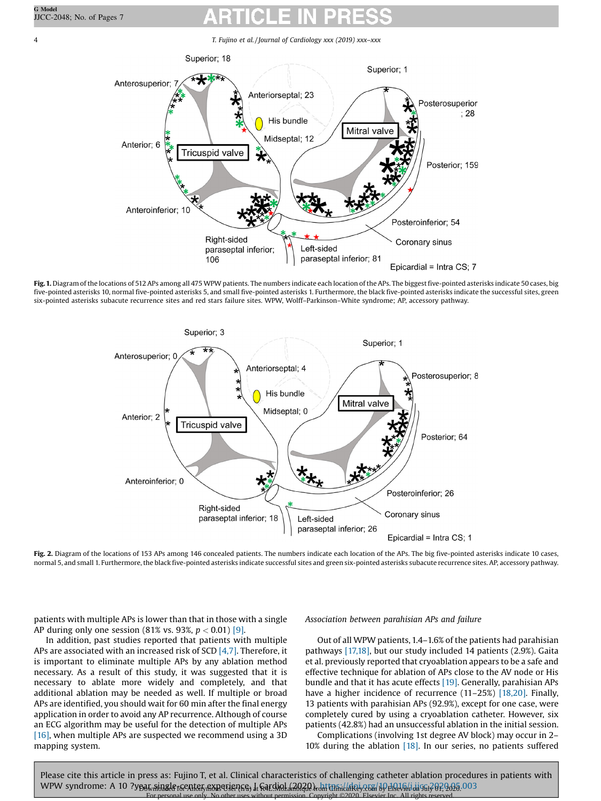<span id="page-3-0"></span>

Fig. 1. Diagram of the locations of 512 APs among all 475 WPW patients. The numbers indicate each location of the APs. The biggest five-pointed asterisks indicate 50 cases, big five-pointed asterisks 10, normal five-pointed asterisks 5, and small five-pointed asterisks 1. Furthermore, the black five-pointed asterisks indicate the successful sites, green six-pointed asterisks subacute recurrence sites and red stars failure sites. WPW, Wolff–Parkinson–White syndrome; AP, accessory pathway.



Fig. 2. Diagram of the locations of 153 APs among 146 concealed patients. The numbers indicate each location of the APs. The big five-pointed asterisks indicate 10 cases, normal 5, and small 1. Furthermore,the black five-pointed asterisks indicate successful sites and green six-pointed asterisks subacute recurrence sites. AP, accessory pathway.

patients with multiple APs is lower than that in those with a single AP during only one session (81% vs. 93%,  $p < 0.01$ ) [\[9\].](#page-6-0)

In addition, past studies reported that patients with multiple APs are associated with an increased risk of SCD  $[4,7]$ . Therefore, it is important to eliminate multiple APs by any ablation method necessary. As a result of this study, it was suggested that it is necessary to ablate more widely and completely, and that additional ablation may be needed as well. If multiple or broad APs are identified, you should wait for 60 min after the final energy application in order to avoid any AP recurrence. Although of course an ECG algorithm may be useful for the detection of multiple APs [\[16\],](#page-6-0) when multiple APs are suspected we recommend using a 3D mapping system.

# Association between parahisian APs and failure

Out of all WPW patients,1.4–1.6% of the patients had parahisian pathways [\[17,18\]](#page-6-0), but our study included 14 patients (2.9%). Gaita et al. previously reported that cryoablation appears to be a safe and effective technique for ablation of APs close to the AV node or His bundle and that it has acute effects [\[19\]](#page-6-0). Generally, parahisian APs have a higher incidence of recurrence (11-25%) [\[18,20\]](#page-6-0). Finally, 13 patients with parahisian APs (92.9%), except for one case, were completely cured by using a cryoablation catheter. However, six patients (42.8%) had an unsuccessful ablation in the initial session.

Complications (involving 1st degree AV block) may occur in 2– 10% during the ablation [\[18\].](#page-6-0) In our series, no patients suffered

Please cite this article in press as: Fujino T, et al. Clinical characteristics of challenging catheter ablation procedures in patients with WPW syndrome: A 10 ?year ainale for Anonymous Hearding in Anglied in Antonical Reigen by Elsevier in Guide on 2020. 003 Internal permission. Copyright ©2020. Elsevier Inc. All rights reserved.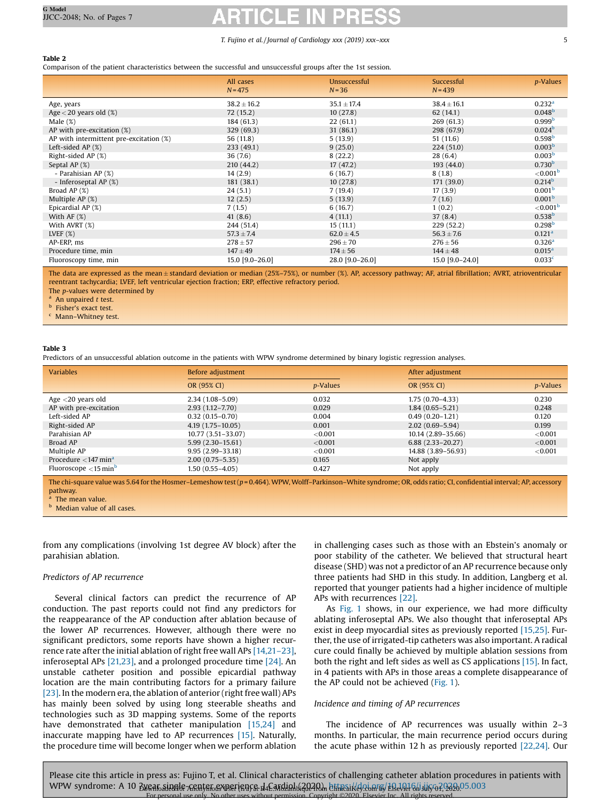### <span id="page-4-0"></span>Table 2

Comparison of the patient characteristics between the successful and unsuccessful groups after the 1st session.

|                                            | All cases<br>$N = 475$ | Unsuccessful<br>$N = 36$ | Successful<br>$N = 439$ | <i>p</i> -Values     |
|--------------------------------------------|------------------------|--------------------------|-------------------------|----------------------|
| Age, years                                 | $38.2 \pm 16.2$        | $35.1 \pm 17.4$          | $38.4 \pm 16.1$         | 0.232 <sup>a</sup>   |
| Age $<$ 20 years old $(\%)$                | 72(15.2)               | 10(27.8)                 | 62(14.1)                | 0.048 <sup>b</sup>   |
| Male $(\%)$                                | 184 (61.3)             | 22(61.1)                 | 269(61.3)               | 0.999 <sup>b</sup>   |
| AP with pre-excitation (%)                 | 329(69.3)              | 31(86.1)                 | 298 (67.9)              | 0.024 <sup>b</sup>   |
| AP with intermittent pre-excitation $(\%)$ | 56 (11.8)              | 5(13.9)                  | 51(11.6)                | 0.598 <sup>b</sup>   |
| Left-sided AP $(%)$                        | 233(49.1)              | 9(25.0)                  | 224(51.0)               | 0.003 <sup>b</sup>   |
| Right-sided AP (%)                         | 36(7.6)                | 8(22.2)                  | 28(6.4)                 | 0.003 <sup>b</sup>   |
| Septal AP $(%)$                            | 210(44.2)              | 17(47.2)                 | 193(44.0)               | 0.730 <sup>b</sup>   |
| - Parahisian AP (%)                        | 14(2.9)                | 6(16.7)                  | 8(1.8)                  | ${<}0.001b$          |
| - Inferoseptal AP (%)                      | 181 (38.1)             | 10(27.8)                 | 171 (39.0)              | 0.214 <sup>b</sup>   |
| Broad AP $(\%)$                            | 24(5.1)                | 7(19.4)                  | 17(3.9)                 | 0.001 <sup>b</sup>   |
| Multiple AP $(\%)$                         | 12(2.5)                | 5(13.9)                  | 7(1.6)                  | 0.001 <sup>b</sup>   |
| Epicardial AP (%)                          | 7(1.5)                 | 6(16.7)                  | 1(0.2)                  | $<$ 0.001 $^{\circ}$ |
| With AF $(%)$                              | 41 $(8.6)$             | 4(11.1)                  | 37(8.4)                 | 0.538 <sup>b</sup>   |
| With AVRT (%)                              | 244 (51.4)             | 15(11.1)                 | 229 (52.2)              | 0.298 <sup>b</sup>   |
| LVEF $(%)$                                 | $57.3 \pm 7.4$         | $62.0 \pm 4.5$           | $56.3 \pm 7.6$          | 0.121 <sup>a</sup>   |
| AP-ERP, ms                                 | $278 \pm 57$           | $296 \pm 70$             | $276 \pm 56$            | 0.326 <sup>a</sup>   |
| Procedure time, min                        | $147 + 49$             | $174 \pm 56$             | $144 \pm 48$            | 0.015 <sup>a</sup>   |
| Fluoroscopy time, min                      | 15.0 [9.0-26.0]        | 28.0 [9.0-26.0]          | 15.0 [9.0-24.0]         | 0.033 <sup>c</sup>   |

The data are expressed as the mean ± standard deviation or median (25%–75%), or number (%). AP, accessory pathway; AF, atrial fibrillation; AVRT, atrioventricular reentrant tachycardia; LVEF, left ventricular ejection fraction; ERP, effective refractory period.

The p-values were determined by

An unpaired  $t$  test.

**b** Fisher's exact test.

<sup>c</sup> Mann–Whitney test.

#### Table 3

Predictors of an unsuccessful ablation outcome in the patients with WPW syndrome determined by binary logistic regression analyses.

| <b>Variables</b>                              | Before adjustment     |                  | After adjustment     |                  |
|-----------------------------------------------|-----------------------|------------------|----------------------|------------------|
|                                               | OR (95% CI)           | <i>p</i> -Values | OR (95% CI)          | <i>p</i> -Values |
| Age $<$ 20 years old                          | $2.34(1.08 - 5.09)$   | 0.032            | $1.75(0.70-4.33)$    | 0.230            |
| AP with pre-excitation                        | $2.93(1.12 - 7.70)$   | 0.029            | $1.84(0.65 - 5.21)$  | 0.248            |
| Left-sided AP                                 | $0.32(0.15 - 0.70)$   | 0.004            | $0.49(0.20-1.21)$    | 0.120            |
| Right-sided AP                                | $4.19(1.75-10.05)$    | 0.001            | $2.02(0.69 - 5.94)$  | 0.199            |
| Parahisian AP                                 | $10.77(3.51 - 33.07)$ | ${<}0.001$       | 10.14 (2.89–35.66)   | ${<}0.001$       |
| Broad AP                                      | $5.99(2.30-15.61)$    | $<$ 0.001        | $6.88(2.33 - 20.27)$ | ${<}0.001$       |
| Multiple AP                                   | $9.95(2.99 - 33.18)$  | $<$ 0.001        | 14.88 (3.89-56.93)   | ${<}0.001$       |
| Procedure $\langle 147 \text{ min}^4 \rangle$ | $2.00(0.75 - 5.35)$   | 0.165            | Not apply            |                  |
| Fluoroscope $\langle 15 \text{min}^b \rangle$ | 1.50 (0.55-4.05)      | 0.427            | Not apply            |                  |

The chi-square value was 5.64 for the Hosmer–Lemeshow test (p = 0.464). WPW, Wolff-Parkinson-White syndrome; OR, odds ratio; CI, confidential interval; AP, accessory pathway.

Median value of all cases.

from any complications (involving 1st degree AV block) after the parahisian ablation.

#### Predictors of AP recurrence

Several clinical factors can predict the recurrence of AP conduction. The past reports could not find any predictors for the reappearance of the AP conduction after ablation because of the lower AP recurrences. However, although there were no significant predictors, some reports have shown a higher recurrence rate after the initial ablation of right free wall APs [\[14,21](#page-6-0)–23], inferoseptal APs [\[21,23\],](#page-6-0) and a prolonged procedure time [\[24\].](#page-6-0) An unstable catheter position and possible epicardial pathway location are the main contributing factors for a primary failure  $[23]$ . In the modern era, the ablation of anterior (right free wall) APs has mainly been solved by using long steerable sheaths and technologies such as 3D mapping systems. Some of the reports have demonstrated that catheter manipulation [\[15,24\]](#page-6-0) and inaccurate mapping have led to AP recurrences [\[15\].](#page-6-0) Naturally, the procedure time will become longer when we perform ablation

in challenging cases such as those with an Ebstein's anomaly or poor stability of the catheter. We believed that structural heart disease (SHD) was not a predictor of an AP recurrence because only three patients had SHD in this study. In addition, Langberg et al. reported that younger patients had a higher incidence of multiple APs with recurrences [\[22\].](#page-6-0)

As [Fig.](#page-3-0) 1 shows, in our experience, we had more difficulty ablating inferoseptal APs. We also thought that inferoseptal APs exist in deep myocardial sites as previously reported [\[15,25\].](#page-6-0) Further, the use of irrigated-tip catheters was also important. A radical cure could finally be achieved by multiple ablation sessions from both the right and left sides as well as CS applications [\[15\].](#page-6-0) In fact, in 4 patients with APs in those areas a complete disappearance of the AP could not be achieved ([Fig.](#page-3-0) 1).

#### Incidence and timing of AP recurrences

The incidence of AP recurrences was usually within 2–3 months. In particular, the main recurrence period occurs during the acute phase within 12 h as previously reported [\[22,24\].](#page-6-0) Our

Please cite this article in press as: Fujino T, et al. Clinical characteristics of challenging catheter ablation procedures in patients with WPW syndrome: A 10 Bygatosingie frantstosynerisnes de Entdighte and Binesikey.com s/ERARI6hijiroa?93805.003 For personal use only. No other uses without permission. Copyright ©2020. Elsevier Inc. All rights reserved.

 $a$  The mean value.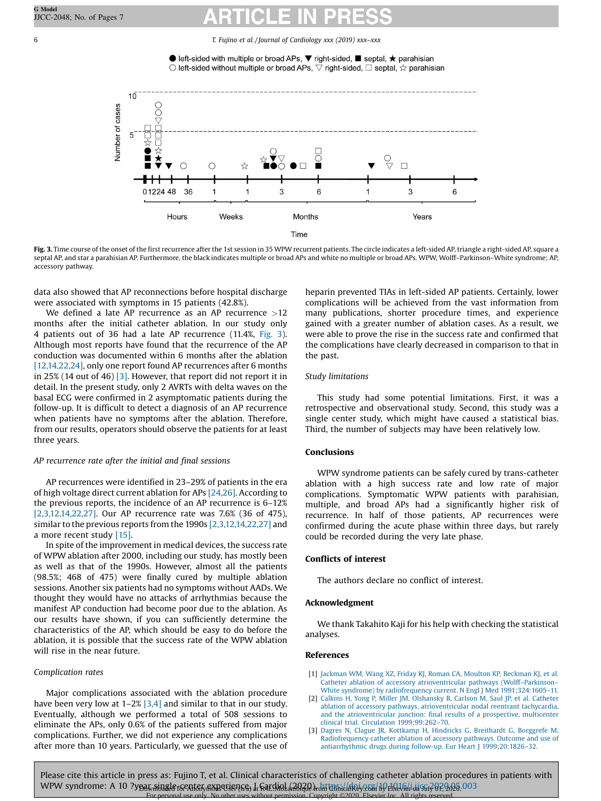

<span id="page-5-0"></span>

Fig. 3. Time course of the onset of the first recurrence after the 1st session in 35 WPW recurrent patients. The circle indicates a left-sided AP, triangle a right-sided AP, square a septal AP, and star a parahisian AP. Furthermore, the black indicates multiple or broad APs and white no multiple or broad APs. WPW, Wolff-Parkinson-White syndrome; AP, accessory pathway.

data also showed that AP reconnections before hospital discharge were associated with symptoms in 15 patients (42.8%).

We defined a late AP recurrence as an AP recurrence >12 months after the initial catheter ablation. In our study only 4 patients out of 36 had a late AP recurrence (11.4%, Fig. 3). Although most reports have found that the recurrence of the AP conduction was documented within 6 months after the ablation [\[12,14,22,24\]](#page-6-0), only one report found AP recurrences after 6 months in 25% (14 out of 46) [3]. However, that report did not report it in detail. In the present study, only 2 AVRTs with delta waves on the basal ECG were confirmed in 2 asymptomatic patients during the follow-up. It is difficult to detect a diagnosis of an AP recurrence when patients have no symptoms after the ablation. Therefore, from our results, operators should observe the patients for at least three years.

# AP recurrence rate after the initial and final sessions

AP recurrences were identified in 23–29% of patients in the era of high voltage direct current ablation for APs [\[24,26\]](#page-6-0). According to the previous reports, the incidence of an AP recurrence is 6–12% [2,3,12,14,22,27]. Our AP recurrence rate was 7.6% (36 of 475), similar to the previous reports from the 1990s [2,3,12,14,22,27] and a more recent study [\[15\].](#page-6-0)

In spite of the improvement in medical devices, the success rate of WPW ablation after 2000, including our study, has mostly been as well as that of the 1990s. However, almost all the patients (98.5%; 468 of 475) were finally cured by multiple ablation sessions. Another six patients had no symptoms without AADs. We thought they would have no attacks of arrhythmias because the manifest AP conduction had become poor due to the ablation. As our results have shown, if you can sufficiently determine the characteristics of the AP, which should be easy to do before the ablation, it is possible that the success rate of the WPW ablation will rise in the near future.

# Complication rates

Major complications associated with the ablation procedure have been very low at  $1-2\%$  [3,4] and similar to that in our study. Eventually, although we performed a total of 508 sessions to eliminate the APs, only 0.6% of the patients suffered from major complications. Further, we did not experience any complications after more than 10 years. Particularly, we guessed that the use of heparin prevented TIAs in left-sided AP patients. Certainly, lower complications will be achieved from the vast information from many publications, shorter procedure times, and experience gained with a greater number of ablation cases. As a result, we were able to prove the rise in the success rate and confirmed that the complications have clearly decreased in comparison to that in the past.

### Study limitations

This study had some potential limitations. First, it was a retrospective and observational study. Second, this study was a single center study, which might have caused a statistical bias. Third, the number of subjects may have been relatively low.

# Conclusions

WPW syndrome patients can be safely cured by trans-catheter ablation with a high success rate and low rate of major complications. Symptomatic WPW patients with parahisian, multiple, and broad APs had a significantly higher risk of recurrence. In half of those patients, AP recurrences were confirmed during the acute phase within three days, but rarely could be recorded during the very late phase.

# Conflicts of interest

The authors declare no conflict of interest.

# Acknowledgment

We thank Takahito Kaji for his help with checking the statistical analyses.

# References

- [1] Jackman WM, Wang XZ, Friday KJ, Roman CA, Moulton KP, [Beckman](http://refhub.elsevier.com/S0914-5087(20)30162-3/sbref0005) KJ, et al. Catheter ablation of accessory [atrioventricular](http://refhub.elsevier.com/S0914-5087(20)30162-3/sbref0005) pathways (Wolff–Parkinson– White syndrome) by [radiofrequency](http://refhub.elsevier.com/S0914-5087(20)30162-3/sbref0005) current. N Engl J Med 1991;324:1605–11.
- [2] Calkins H, Yong P, Miller JM, [Olshansky](http://refhub.elsevier.com/S0914-5087(20)30162-3/sbref0010) B, Carlson M, Saul JP, et al. Catheter ablation of accessory pathways, [atrioventricular](http://refhub.elsevier.com/S0914-5087(20)30162-3/sbref0010) nodal reentrant tachycardia, and the [atrioventricular](http://refhub.elsevier.com/S0914-5087(20)30162-3/sbref0010) junction: final results of a prospective, multicenter clinical trial. Circulation [1999;99:262](http://refhub.elsevier.com/S0914-5087(20)30162-3/sbref0010)–70.
- [3] Dagres N, Clague JR, Kottkamp H, Hindricks G, [Breithardt](http://refhub.elsevier.com/S0914-5087(20)30162-3/sbref0015) G, Borggrefe M. [Radiofrequency](http://refhub.elsevier.com/S0914-5087(20)30162-3/sbref0015) catheter ablation of accessory pathways. Outcome and use of [antiarrhythmic](http://refhub.elsevier.com/S0914-5087(20)30162-3/sbref0015) drugs during follow-up. Eur Heart J 1999;20:1826–32.

Please cite this article in press as: Fujino T, et al. Clinical characteristics of challenging catheter ablation procedures in patients with WPW syndrome: A 10 ?year single for Anonymous Hearding in Republican and Clinical Key.com by Elsevier in Gui 2020.003 For personal use only. No other uses without permission. Copyright ©2020. Elsevier Inc. All rights reserved.